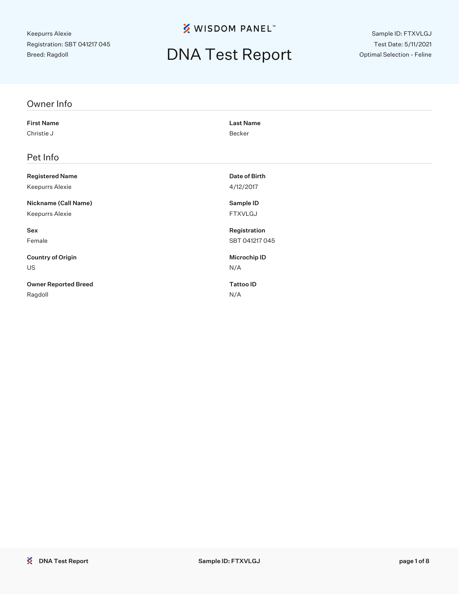**※ WISDOM PANEL**™

# DNA Test Report

Sample ID: FTXVLGJ Test Date: 5/11/2021 Optimal Selection - Feline

| Owner Info                  |                  |
|-----------------------------|------------------|
| <b>First Name</b>           | <b>Last Name</b> |
| Christie J                  | Becker           |
| Pet Info                    |                  |
| <b>Registered Name</b>      | Date of Birth    |
| Keepurrs Alexie             | 4/12/2017        |
| Nickname (Call Name)        | Sample ID        |
| Keepurrs Alexie             | <b>FTXVLGJ</b>   |
| Sex                         | Registration     |
| Female                      | SBT 041217 045   |
| <b>Country of Origin</b>    | Microchip ID     |
| US                          | N/A              |
| <b>Owner Reported Breed</b> | <b>Tattoo ID</b> |
| Ragdoll                     | N/A              |
|                             |                  |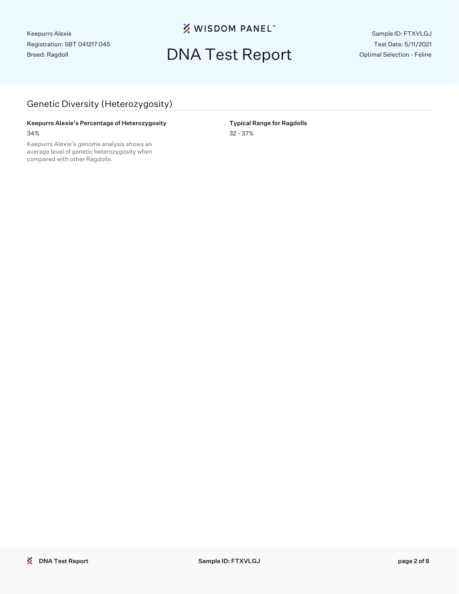**※ WISDOM PANEL**™

## DNA Test Report

Sample ID: FTXVLGJ Test Date: 5/11/2021 Optimal Selection - Feline

### Genetic Diversity (Heterozygosity)

#### Keepurrs Alexie's Percentage of Heterozygosity **Typical Range for Ragdolls** 34% 32 - 37%

Keepurrs Alexie's genome analysis shows an average level of genetic heterozygosity when compared with other Ragdolls.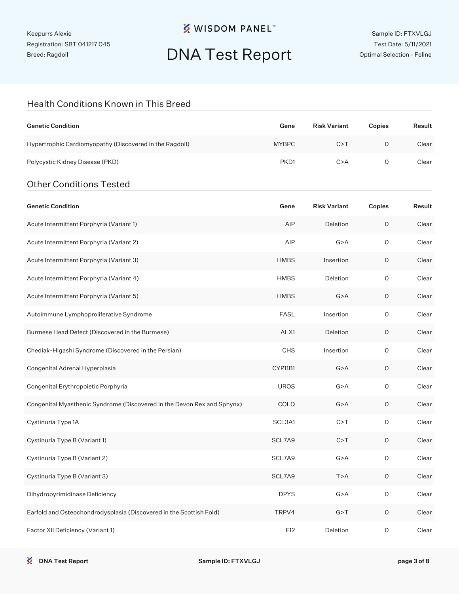## **※ WISDOM PANEL**™

## DNA Test Report

### Health Conditions Known in This Breed

| <b>Genetic Condition</b>                                | Gene             | <b>Risk Variant</b> | Copies | Result |
|---------------------------------------------------------|------------------|---------------------|--------|--------|
| Hypertrophic Cardiomyopathy (Discovered in the Ragdoll) | <b>MYBPC</b>     | C > T               | Ο      | Clear  |
| Polycystic Kidney Disease (PKD)                         | PKD <sub>1</sub> | C > A               | O      | Clear  |
| <b>Other Conditions Tested</b>                          |                  |                     |        |        |

| <b>Genetic Condition</b>                                                | Gene        | <b>Risk Variant</b> | Copies  | Result |
|-------------------------------------------------------------------------|-------------|---------------------|---------|--------|
| Acute Intermittent Porphyria (Variant 1)                                | AIP         | Deletion            | O       | Clear  |
| Acute Intermittent Porphyria (Variant 2)                                | AIP         | G > A               | O       | Clear  |
| Acute Intermittent Porphyria (Variant 3)                                | <b>HMBS</b> | Insertion           | 0       | Clear  |
| Acute Intermittent Porphyria (Variant 4)                                | <b>HMBS</b> | Deletion            | O       | Clear  |
| Acute Intermittent Porphyria (Variant 5)                                | <b>HMBS</b> | G > A               | O       | Clear  |
| Autoimmune Lymphoproliferative Syndrome                                 | <b>FASL</b> | Insertion           | O       | Clear  |
| Burmese Head Defect (Discovered in the Burmese)                         | ALX1        | Deletion            | O       | Clear  |
| Chediak-Higashi Syndrome (Discovered in the Persian)                    | CHS         | Insertion           | O       | Clear  |
| Congenital Adrenal Hyperplasia                                          | CYP11B1     | G > A               | O       | Clear  |
| Congenital Erythropoietic Porphyria                                     | <b>UROS</b> | G > A               | O       | Clear  |
| Congenital Myasthenic Syndrome (Discovered in the Devon Rex and Sphynx) | COLQ        | G > A               | 0       | Clear  |
| Cystinuria Type 1A                                                      | SCL3A1      | C > T               | O       | Clear  |
| Cystinuria Type B (Variant 1)                                           | SCL7A9      | C > T               | O       | Clear  |
| Cystinuria Type B (Variant 2)                                           | SCL7A9      | G > A               | O       | Clear  |
| Cystinuria Type B (Variant 3)                                           | SCL7A9      | T>A                 | O       | Clear  |
| Dihydropyrimidinase Deficiency                                          | <b>DPYS</b> | G > A               | O       | Clear  |
| Earfold and Osteochondrodysplasia (Discovered in the Scottish Fold)     | TRPV4       | G > T               | O       | Clear  |
| Factor XII Deficiency (Variant 1)                                       | F12         | Deletion            | $\circ$ | Clear  |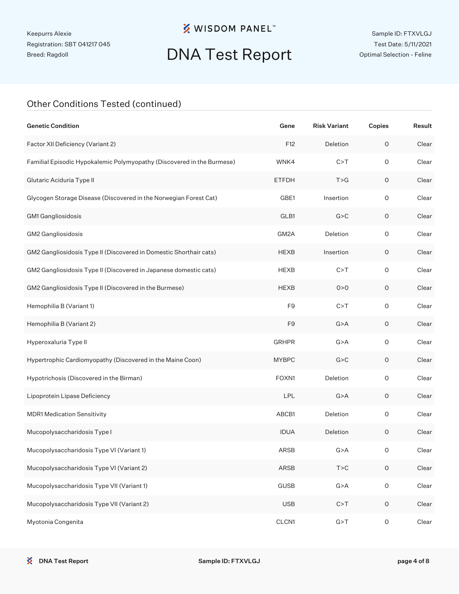## **※ WISDOM PANEL**™

# DNA Test Report

### Other Conditions Tested (continued)

| <b>Genetic Condition</b>                                               | Gene           | <b>Risk Variant</b> | Copies              | Result |
|------------------------------------------------------------------------|----------------|---------------------|---------------------|--------|
| Factor XII Deficiency (Variant 2)                                      | F12            | Deletion            | $\mathsf O$         | Clear  |
| Familial Episodic Hypokalemic Polymyopathy (Discovered in the Burmese) | WNK4           | C > T               | $\mathsf O$         | Clear  |
| Glutaric Aciduria Type II                                              | <b>ETFDH</b>   | T > G               | O                   | Clear  |
| Glycogen Storage Disease (Discovered in the Norwegian Forest Cat)      | GBE1           | Insertion           | $\mathsf O$         | Clear  |
| GM1 Gangliosidosis                                                     | GLB1           | G > C               | O                   | Clear  |
| GM2 Gangliosidosis                                                     | GM2A           | Deletion            | $\mathsf O$         | Clear  |
| GM2 Gangliosidosis Type II (Discovered in Domestic Shorthair cats)     | <b>HEXB</b>    | Insertion           | O                   | Clear  |
| GM2 Gangliosidosis Type II (Discovered in Japanese domestic cats)      | <b>HEXB</b>    | C > T               | $\mathsf{O}\xspace$ | Clear  |
| GM2 Gangliosidosis Type II (Discovered in the Burmese)                 | <b>HEXB</b>    | 0 > 0               | O                   | Clear  |
| Hemophilia B (Variant 1)                                               | F <sub>9</sub> | C > T               | $\mathsf{O}\xspace$ | Clear  |
| Hemophilia B (Variant 2)                                               | F9             | G > A               | O                   | Clear  |
| Hyperoxaluria Type II                                                  | <b>GRHPR</b>   | G > A               | $\mathsf O$         | Clear  |
| Hypertrophic Cardiomyopathy (Discovered in the Maine Coon)             | <b>MYBPC</b>   | G > C               | $\mathsf O$         | Clear  |
| Hypotrichosis (Discovered in the Birman)                               | FOXN1          | Deletion            | $\mathsf O$         | Clear  |
| Lipoprotein Lipase Deficiency                                          | LPL            | G > A               | 0                   | Clear  |
| <b>MDR1 Medication Sensitivity</b>                                     | ABCB1          | Deletion            | $\mathsf O$         | Clear  |
| Mucopolysaccharidosis Type I                                           | <b>IDUA</b>    | Deletion            | 0                   | Clear  |
| Mucopolysaccharidosis Type VI (Variant 1)                              | ARSB           | G > A               | 0                   | Clear  |
| Mucopolysaccharidosis Type VI (Variant 2)                              | ARSB           | T > C               | $\mathsf O$         | Clear  |
| Mucopolysaccharidosis Type VII (Variant 1)                             | <b>GUSB</b>    | G > A               | $\mathsf O$         | Clear  |
| Mucopolysaccharidosis Type VII (Variant 2)                             | <b>USB</b>     | C > T               | $\mathsf O$         | Clear  |
| Myotonia Congenita                                                     | CLCN1          | G > T               | $\mathsf O$         | Clear  |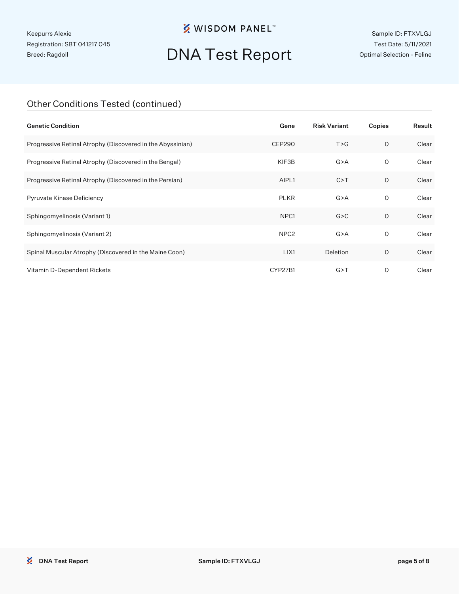## **※ WISDOM PANEL**™

# DNA Test Report

Sample ID: FTXVLGJ Test Date: 5/11/2021 Optimal Selection - Feline

### Other Conditions Tested (continued)

| <b>Genetic Condition</b>                                   | Gene             | <b>Risk Variant</b> | Copies  | Result |
|------------------------------------------------------------|------------------|---------------------|---------|--------|
| Progressive Retinal Atrophy (Discovered in the Abyssinian) | <b>CEP290</b>    | T > G               | $\circ$ | Clear  |
| Progressive Retinal Atrophy (Discovered in the Bengal)     | KIF3B            | G > A               | 0       | Clear  |
| Progressive Retinal Atrophy (Discovered in the Persian)    | AIPL1            | C > T               | 0       | Clear  |
| Pyruvate Kinase Deficiency                                 | <b>PLKR</b>      | G > A               | 0       | Clear  |
| Sphingomyelinosis (Variant 1)                              | NPC <sub>1</sub> | G > C               | $\circ$ | Clear  |
| Sphingomyelinosis (Variant 2)                              | NPC <sub>2</sub> | G > A               | 0       | Clear  |
| Spinal Muscular Atrophy (Discovered in the Maine Coon)     | LIX1             | Deletion            | $\circ$ | Clear  |
| Vitamin D-Dependent Rickets                                | CYP27B1          | G > T               | 0       | Clear  |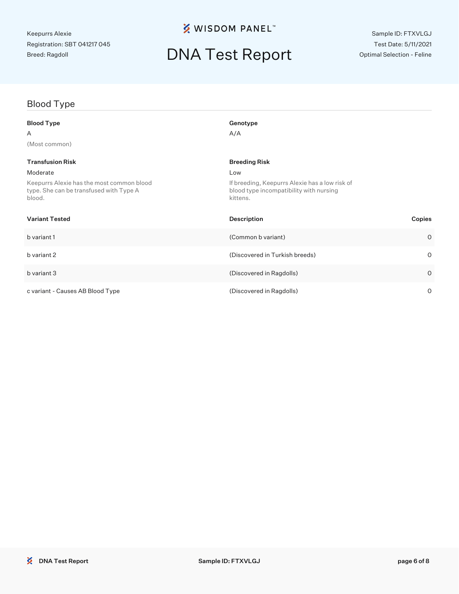## **※ WISDOM PANEL**™

# DNA Test Report

### Blood Type

| <b>Blood Type</b>                                                                              | Genotype                                                                                              |         |
|------------------------------------------------------------------------------------------------|-------------------------------------------------------------------------------------------------------|---------|
| A                                                                                              | A/A                                                                                                   |         |
| (Most common)                                                                                  |                                                                                                       |         |
| <b>Transfusion Risk</b>                                                                        | <b>Breeding Risk</b>                                                                                  |         |
| Moderate                                                                                       | Low                                                                                                   |         |
| Keepurrs Alexie has the most common blood<br>type. She can be transfused with Type A<br>blood. | If breeding, Keepurrs Alexie has a low risk of<br>blood type incompatibility with nursing<br>kittens. |         |
| <b>Variant Tested</b>                                                                          | Description                                                                                           | Copies  |
| b variant 1                                                                                    | (Common b variant)                                                                                    | $\circ$ |
| b variant 2                                                                                    | (Discovered in Turkish breeds)                                                                        | $\circ$ |
| b variant 3                                                                                    | (Discovered in Ragdolls)                                                                              | $\circ$ |
| c variant - Causes AB Blood Type                                                               | (Discovered in Ragdolls)                                                                              | 0       |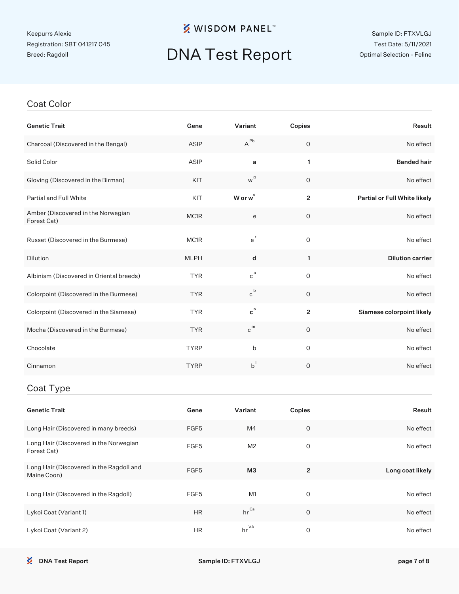## **※ WISDOM PANEL**™

# DNA Test Report

#### Sample ID: FTXVLGJ Test Date: 5/11/2021 Optimal Selection - Feline

#### Coat Color

| <b>Genetic Trait</b>                                    | Gene        | Variant                     | Copies         | Result                       |
|---------------------------------------------------------|-------------|-----------------------------|----------------|------------------------------|
| Charcoal (Discovered in the Bengal)                     | <b>ASIP</b> | $A^{Pb}$                    | $\circ$        | No effect                    |
| Solid Color                                             | <b>ASIP</b> | a                           | $\mathbf{1}$   | <b>Banded hair</b>           |
| Gloving (Discovered in the Birman)                      | KIT         | w <sup>g</sup>              | 0              | No effect                    |
| Partial and Full White                                  | KIT         | W or w <sup>s</sup>         | $\overline{2}$ | Partial or Full White likely |
| Amber (Discovered in the Norwegian<br>Forest Cat)       | MC1R        | e                           | 0              | No effect                    |
| Russet (Discovered in the Burmese)                      | MC1R        | $e^{r}$                     | $\overline{O}$ | No effect                    |
| <b>Dilution</b>                                         | <b>MLPH</b> | d                           | $\mathbf{1}$   | <b>Dilution carrier</b>      |
| Albinism (Discovered in Oriental breeds)                | <b>TYR</b>  | $c^{a}$                     | $\overline{O}$ | No effect                    |
| Colorpoint (Discovered in the Burmese)                  | <b>TYR</b>  | $c^b$                       | $\circ$        | No effect                    |
| Colorpoint (Discovered in the Siamese)                  | <b>TYR</b>  | $\mathbf{c}^{\,\mathrm{s}}$ | $\overline{2}$ | Siamese colorpoint likely    |
| Mocha (Discovered in the Burmese)                       | <b>TYR</b>  | $c^{m}$                     | $\circ$        | No effect                    |
| Chocolate                                               | <b>TYRP</b> | b                           | $\circ$        | No effect                    |
| Cinnamon                                                | <b>TYRP</b> | $b^{\dagger}$               | $\circ$        | No effect                    |
| Coat Type                                               |             |                             |                |                              |
| <b>Genetic Trait</b>                                    | Gene        | Variant                     | Copies         | Result                       |
| Long Hair (Discovered in many breeds)                   | FGF5        | M4                          | $\mathsf{O}$   | No effect                    |
| Long Hair (Discovered in the Norwegian<br>Forest Cat)   | FGF5        | M <sub>2</sub>              | $\mathsf O$    | No effect                    |
| Long Hair (Discovered in the Ragdoll and<br>Maine Coon) | FGF5        | МЗ                          | $\overline{2}$ | Long coat likely             |
| Long Hair (Discovered in the Ragdoll)                   | FGF5        | M1                          | 0              | No effect                    |

Lykoi Coat (Variant 1) **HR** hr Ca 0 No effect No effect

Lykoi Coat (Variant 2) **HR** hr <sup>VA</sup> 0 0 No effect